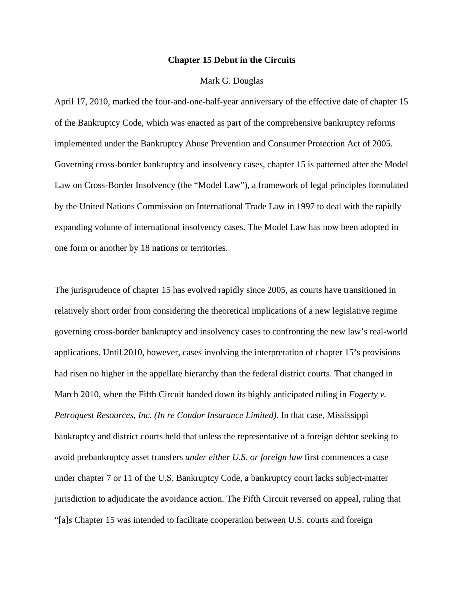#### **Chapter 15 Debut in the Circuits**

## Mark G. Douglas

April 17, 2010, marked the four-and-one-half-year anniversary of the effective date of chapter 15 of the Bankruptcy Code, which was enacted as part of the comprehensive bankruptcy reforms implemented under the Bankruptcy Abuse Prevention and Consumer Protection Act of 2005. Governing cross-border bankruptcy and insolvency cases, chapter 15 is patterned after the Model Law on Cross-Border Insolvency (the "Model Law"), a framework of legal principles formulated by the United Nations Commission on International Trade Law in 1997 to deal with the rapidly expanding volume of international insolvency cases. The Model Law has now been adopted in one form or another by 18 nations or territories.

The jurisprudence of chapter 15 has evolved rapidly since 2005, as courts have transitioned in relatively short order from considering the theoretical implications of a new legislative regime governing cross-border bankruptcy and insolvency cases to confronting the new law's real-world applications. Until 2010, however, cases involving the interpretation of chapter 15's provisions had risen no higher in the appellate hierarchy than the federal district courts. That changed in March 2010, when the Fifth Circuit handed down its highly anticipated ruling in *Fogerty v. Petroquest Resources, Inc. (In re Condor Insurance Limited).* In that case, Mississippi bankruptcy and district courts held that unless the representative of a foreign debtor seeking to avoid prebankruptcy asset transfers *under either U.S. or foreign law* first commences a case under chapter 7 or 11 of the U.S. Bankruptcy Code, a bankruptcy court lacks subject-matter jurisdiction to adjudicate the avoidance action. The Fifth Circuit reversed on appeal, ruling that "[a]s Chapter 15 was intended to facilitate cooperation between U.S. courts and foreign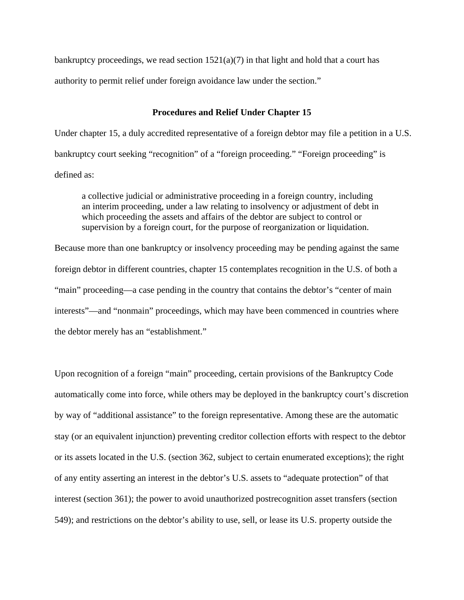bankruptcy proceedings, we read section  $1521(a)(7)$  in that light and hold that a court has authority to permit relief under foreign avoidance law under the section."

# **Procedures and Relief Under Chapter 15**

Under chapter 15, a duly accredited representative of a foreign debtor may file a petition in a U.S. bankruptcy court seeking "recognition" of a "foreign proceeding." "Foreign proceeding" is defined as:

a collective judicial or administrative proceeding in a foreign country, including an interim proceeding, under a law relating to insolvency or adjustment of debt in which proceeding the assets and affairs of the debtor are subject to control or supervision by a foreign court, for the purpose of reorganization or liquidation.

Because more than one bankruptcy or insolvency proceeding may be pending against the same foreign debtor in different countries, chapter 15 contemplates recognition in the U.S. of both a "main" proceeding—a case pending in the country that contains the debtor's "center of main interests"—and "nonmain" proceedings, which may have been commenced in countries where the debtor merely has an "establishment."

Upon recognition of a foreign "main" proceeding, certain provisions of the Bankruptcy Code automatically come into force, while others may be deployed in the bankruptcy court's discretion by way of "additional assistance" to the foreign representative. Among these are the automatic stay (or an equivalent injunction) preventing creditor collection efforts with respect to the debtor or its assets located in the U.S. (section 362, subject to certain enumerated exceptions); the right of any entity asserting an interest in the debtor's U.S. assets to "adequate protection" of that interest (section 361); the power to avoid unauthorized postrecognition asset transfers (section 549); and restrictions on the debtor's ability to use, sell, or lease its U.S. property outside the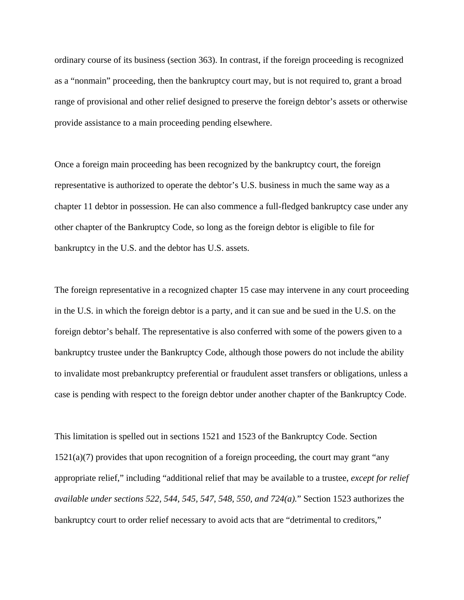ordinary course of its business (section 363). In contrast, if the foreign proceeding is recognized as a "nonmain" proceeding, then the bankruptcy court may, but is not required to, grant a broad range of provisional and other relief designed to preserve the foreign debtor's assets or otherwise provide assistance to a main proceeding pending elsewhere.

Once a foreign main proceeding has been recognized by the bankruptcy court, the foreign representative is authorized to operate the debtor's U.S. business in much the same way as a chapter 11 debtor in possession. He can also commence a full-fledged bankruptcy case under any other chapter of the Bankruptcy Code, so long as the foreign debtor is eligible to file for bankruptcy in the U.S. and the debtor has U.S. assets.

The foreign representative in a recognized chapter 15 case may intervene in any court proceeding in the U.S. in which the foreign debtor is a party, and it can sue and be sued in the U.S. on the foreign debtor's behalf. The representative is also conferred with some of the powers given to a bankruptcy trustee under the Bankruptcy Code, although those powers do not include the ability to invalidate most prebankruptcy preferential or fraudulent asset transfers or obligations, unless a case is pending with respect to the foreign debtor under another chapter of the Bankruptcy Code.

This limitation is spelled out in sections 1521 and 1523 of the Bankruptcy Code. Section 1521(a)(7) provides that upon recognition of a foreign proceeding, the court may grant "any appropriate relief," including "additional relief that may be available to a trustee, *except for relief available under sections 522, 544, 545, 547, 548, 550, and 724(a).*" Section 1523 authorizes the bankruptcy court to order relief necessary to avoid acts that are "detrimental to creditors,"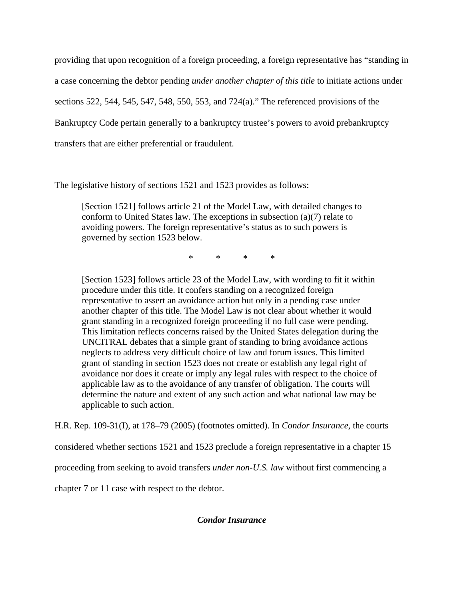providing that upon recognition of a foreign proceeding, a foreign representative has "standing in a case concerning the debtor pending *under another chapter of this title* to initiate actions under sections 522, 544, 545, 547, 548, 550, 553, and 724(a)." The referenced provisions of the Bankruptcy Code pertain generally to a bankruptcy trustee's powers to avoid prebankruptcy transfers that are either preferential or fraudulent.

The legislative history of sections 1521 and 1523 provides as follows:

[Section 1521] follows article 21 of the Model Law, with detailed changes to conform to United States law. The exceptions in subsection (a)(7) relate to avoiding powers. The foreign representative's status as to such powers is governed by section 1523 below.

\* \* \* \*

[Section 1523] follows article 23 of the Model Law, with wording to fit it within procedure under this title. It confers standing on a recognized foreign representative to assert an avoidance action but only in a pending case under another chapter of this title. The Model Law is not clear about whether it would grant standing in a recognized foreign proceeding if no full case were pending. This limitation reflects concerns raised by the United States delegation during the UNCITRAL debates that a simple grant of standing to bring avoidance actions neglects to address very difficult choice of law and forum issues. This limited grant of standing in section 1523 does not create or establish any legal right of avoidance nor does it create or imply any legal rules with respect to the choice of applicable law as to the avoidance of any transfer of obligation. The courts will determine the nature and extent of any such action and what national law may be applicable to such action.

H.R. Rep. 109-31(I), at 178–79 (2005) (footnotes omitted). In *Condor Insurance*, the courts

considered whether sections 1521 and 1523 preclude a foreign representative in a chapter 15

proceeding from seeking to avoid transfers *under non-U.S. law* without first commencing a

chapter 7 or 11 case with respect to the debtor.

# *Condor Insurance*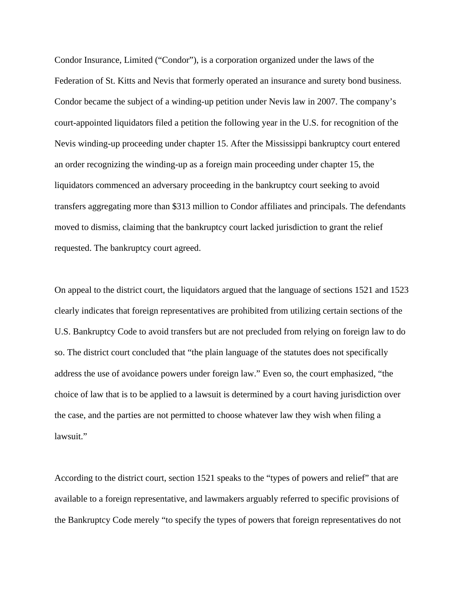Condor Insurance, Limited ("Condor"), is a corporation organized under the laws of the Federation of St. Kitts and Nevis that formerly operated an insurance and surety bond business. Condor became the subject of a winding-up petition under Nevis law in 2007. The company's court-appointed liquidators filed a petition the following year in the U.S. for recognition of the Nevis winding-up proceeding under chapter 15. After the Mississippi bankruptcy court entered an order recognizing the winding-up as a foreign main proceeding under chapter 15, the liquidators commenced an adversary proceeding in the bankruptcy court seeking to avoid transfers aggregating more than \$313 million to Condor affiliates and principals. The defendants moved to dismiss, claiming that the bankruptcy court lacked jurisdiction to grant the relief requested. The bankruptcy court agreed.

On appeal to the district court, the liquidators argued that the language of sections 1521 and 1523 clearly indicates that foreign representatives are prohibited from utilizing certain sections of the U.S. Bankruptcy Code to avoid transfers but are not precluded from relying on foreign law to do so. The district court concluded that "the plain language of the statutes does not specifically address the use of avoidance powers under foreign law." Even so, the court emphasized, "the choice of law that is to be applied to a lawsuit is determined by a court having jurisdiction over the case, and the parties are not permitted to choose whatever law they wish when filing a lawsuit."

According to the district court, section 1521 speaks to the "types of powers and relief" that are available to a foreign representative, and lawmakers arguably referred to specific provisions of the Bankruptcy Code merely "to specify the types of powers that foreign representatives do not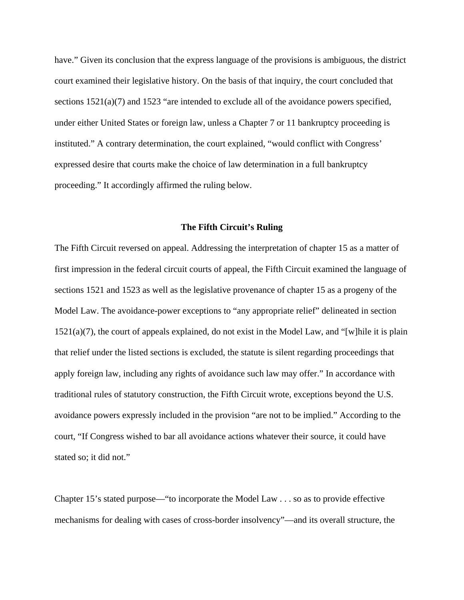have." Given its conclusion that the express language of the provisions is ambiguous, the district court examined their legislative history. On the basis of that inquiry, the court concluded that sections  $1521(a)(7)$  and  $1523$  "are intended to exclude all of the avoidance powers specified, under either United States or foreign law, unless a Chapter 7 or 11 bankruptcy proceeding is instituted." A contrary determination, the court explained, "would conflict with Congress' expressed desire that courts make the choice of law determination in a full bankruptcy proceeding." It accordingly affirmed the ruling below.

## **The Fifth Circuit's Ruling**

The Fifth Circuit reversed on appeal. Addressing the interpretation of chapter 15 as a matter of first impression in the federal circuit courts of appeal, the Fifth Circuit examined the language of sections 1521 and 1523 as well as the legislative provenance of chapter 15 as a progeny of the Model Law. The avoidance-power exceptions to "any appropriate relief" delineated in section 1521(a)(7), the court of appeals explained, do not exist in the Model Law, and "[w]hile it is plain that relief under the listed sections is excluded, the statute is silent regarding proceedings that apply foreign law, including any rights of avoidance such law may offer." In accordance with traditional rules of statutory construction, the Fifth Circuit wrote, exceptions beyond the U.S. avoidance powers expressly included in the provision "are not to be implied." According to the court, "If Congress wished to bar all avoidance actions whatever their source, it could have stated so; it did not."

Chapter 15's stated purpose—"to incorporate the Model Law . . . so as to provide effective mechanisms for dealing with cases of cross-border insolvency"—and its overall structure, the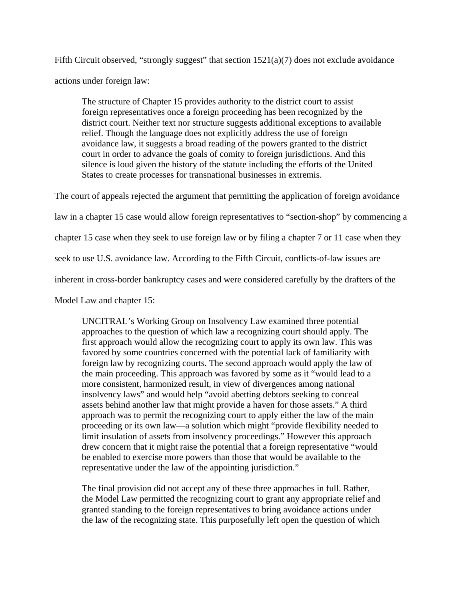Fifth Circuit observed, "strongly suggest" that section  $1521(a)(7)$  does not exclude avoidance actions under foreign law:

The structure of Chapter 15 provides authority to the district court to assist foreign representatives once a foreign proceeding has been recognized by the district court. Neither text nor structure suggests additional exceptions to available relief. Though the language does not explicitly address the use of foreign avoidance law, it suggests a broad reading of the powers granted to the district court in order to advance the goals of comity to foreign jurisdictions. And this silence is loud given the history of the statute including the efforts of the United States to create processes for transnational businesses in extremis.

The court of appeals rejected the argument that permitting the application of foreign avoidance

law in a chapter 15 case would allow foreign representatives to "section-shop" by commencing a

chapter 15 case when they seek to use foreign law or by filing a chapter 7 or 11 case when they

seek to use U.S. avoidance law. According to the Fifth Circuit, conflicts-of-law issues are

inherent in cross-border bankruptcy cases and were considered carefully by the drafters of the

Model Law and chapter 15:

UNCITRAL's Working Group on Insolvency Law examined three potential approaches to the question of which law a recognizing court should apply. The first approach would allow the recognizing court to apply its own law. This was favored by some countries concerned with the potential lack of familiarity with foreign law by recognizing courts. The second approach would apply the law of the main proceeding. This approach was favored by some as it "would lead to a more consistent, harmonized result, in view of divergences among national insolvency laws" and would help "avoid abetting debtors seeking to conceal assets behind another law that might provide a haven for those assets." A third approach was to permit the recognizing court to apply either the law of the main proceeding or its own law—a solution which might "provide flexibility needed to limit insulation of assets from insolvency proceedings." However this approach drew concern that it might raise the potential that a foreign representative "would be enabled to exercise more powers than those that would be available to the representative under the law of the appointing jurisdiction."

The final provision did not accept any of these three approaches in full. Rather, the Model Law permitted the recognizing court to grant any appropriate relief and granted standing to the foreign representatives to bring avoidance actions under the law of the recognizing state. This purposefully left open the question of which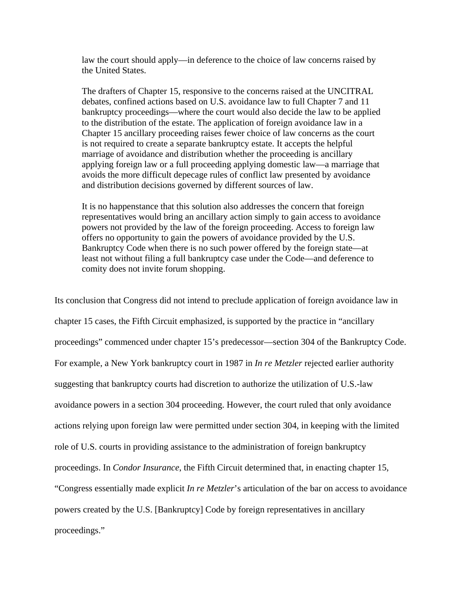law the court should apply—in deference to the choice of law concerns raised by the United States.

The drafters of Chapter 15, responsive to the concerns raised at the UNCITRAL debates, confined actions based on U.S. avoidance law to full Chapter 7 and 11 bankruptcy proceedings—where the court would also decide the law to be applied to the distribution of the estate. The application of foreign avoidance law in a Chapter 15 ancillary proceeding raises fewer choice of law concerns as the court is not required to create a separate bankruptcy estate. It accepts the helpful marriage of avoidance and distribution whether the proceeding is ancillary applying foreign law or a full proceeding applying domestic law—a marriage that avoids the more difficult depecage rules of conflict law presented by avoidance and distribution decisions governed by different sources of law.

It is no happenstance that this solution also addresses the concern that foreign representatives would bring an ancillary action simply to gain access to avoidance powers not provided by the law of the foreign proceeding. Access to foreign law offers no opportunity to gain the powers of avoidance provided by the U.S. Bankruptcy Code when there is no such power offered by the foreign state—at least not without filing a full bankruptcy case under the Code—and deference to comity does not invite forum shopping.

Its conclusion that Congress did not intend to preclude application of foreign avoidance law in chapter 15 cases, the Fifth Circuit emphasized, is supported by the practice in "ancillary proceedings" commenced under chapter 15's predecessor—section 304 of the Bankruptcy Code. For example, a New York bankruptcy court in 1987 in *In re Metzler* rejected earlier authority suggesting that bankruptcy courts had discretion to authorize the utilization of U.S.-law avoidance powers in a section 304 proceeding. However, the court ruled that only avoidance actions relying upon foreign law were permitted under section 304, in keeping with the limited role of U.S. courts in providing assistance to the administration of foreign bankruptcy proceedings. In *Condor Insurance*, the Fifth Circuit determined that, in enacting chapter 15, "Congress essentially made explicit *In re Metzler*'s articulation of the bar on access to avoidance powers created by the U.S. [Bankruptcy] Code by foreign representatives in ancillary proceedings."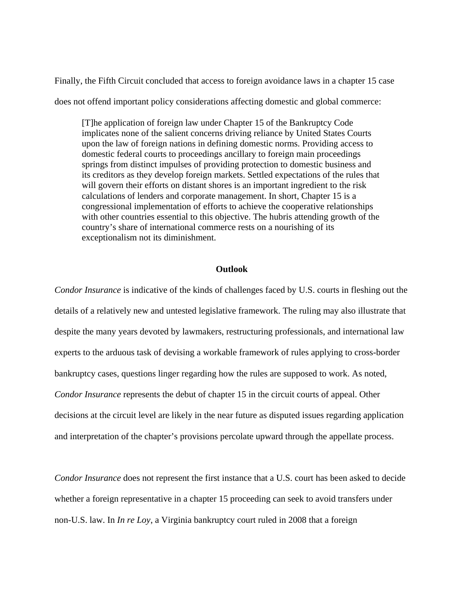Finally, the Fifth Circuit concluded that access to foreign avoidance laws in a chapter 15 case does not offend important policy considerations affecting domestic and global commerce:

[T]he application of foreign law under Chapter 15 of the Bankruptcy Code implicates none of the salient concerns driving reliance by United States Courts upon the law of foreign nations in defining domestic norms. Providing access to domestic federal courts to proceedings ancillary to foreign main proceedings springs from distinct impulses of providing protection to domestic business and its creditors as they develop foreign markets. Settled expectations of the rules that will govern their efforts on distant shores is an important ingredient to the risk calculations of lenders and corporate management. In short, Chapter 15 is a congressional implementation of efforts to achieve the cooperative relationships with other countries essential to this objective. The hubris attending growth of the country's share of international commerce rests on a nourishing of its exceptionalism not its diminishment.

## **Outlook**

*Condor Insurance* is indicative of the kinds of challenges faced by U.S. courts in fleshing out the details of a relatively new and untested legislative framework. The ruling may also illustrate that despite the many years devoted by lawmakers, restructuring professionals, and international law experts to the arduous task of devising a workable framework of rules applying to cross-border bankruptcy cases, questions linger regarding how the rules are supposed to work. As noted, *Condor Insurance* represents the debut of chapter 15 in the circuit courts of appeal. Other decisions at the circuit level are likely in the near future as disputed issues regarding application and interpretation of the chapter's provisions percolate upward through the appellate process.

*Condor Insurance* does not represent the first instance that a U.S. court has been asked to decide whether a foreign representative in a chapter 15 proceeding can seek to avoid transfers under non-U.S. law. In *In re Loy*, a Virginia bankruptcy court ruled in 2008 that a foreign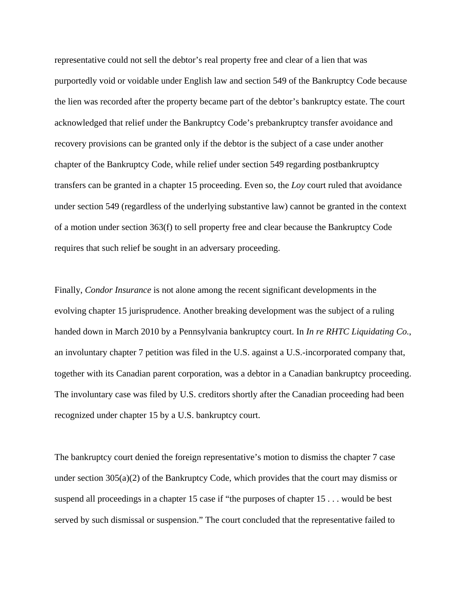representative could not sell the debtor's real property free and clear of a lien that was purportedly void or voidable under English law and section 549 of the Bankruptcy Code because the lien was recorded after the property became part of the debtor's bankruptcy estate. The court acknowledged that relief under the Bankruptcy Code's prebankruptcy transfer avoidance and recovery provisions can be granted only if the debtor is the subject of a case under another chapter of the Bankruptcy Code, while relief under section 549 regarding postbankruptcy transfers can be granted in a chapter 15 proceeding. Even so, the *Loy* court ruled that avoidance under section 549 (regardless of the underlying substantive law) cannot be granted in the context of a motion under section 363(f) to sell property free and clear because the Bankruptcy Code requires that such relief be sought in an adversary proceeding.

Finally, *Condor Insurance* is not alone among the recent significant developments in the evolving chapter 15 jurisprudence. Another breaking development was the subject of a ruling handed down in March 2010 by a Pennsylvania bankruptcy court. In *In re RHTC Liquidating Co.*, an involuntary chapter 7 petition was filed in the U.S. against a U.S.-incorporated company that, together with its Canadian parent corporation, was a debtor in a Canadian bankruptcy proceeding. The involuntary case was filed by U.S. creditors shortly after the Canadian proceeding had been recognized under chapter 15 by a U.S. bankruptcy court.

The bankruptcy court denied the foreign representative's motion to dismiss the chapter 7 case under section 305(a)(2) of the Bankruptcy Code, which provides that the court may dismiss or suspend all proceedings in a chapter 15 case if "the purposes of chapter 15 . . . would be best served by such dismissal or suspension." The court concluded that the representative failed to